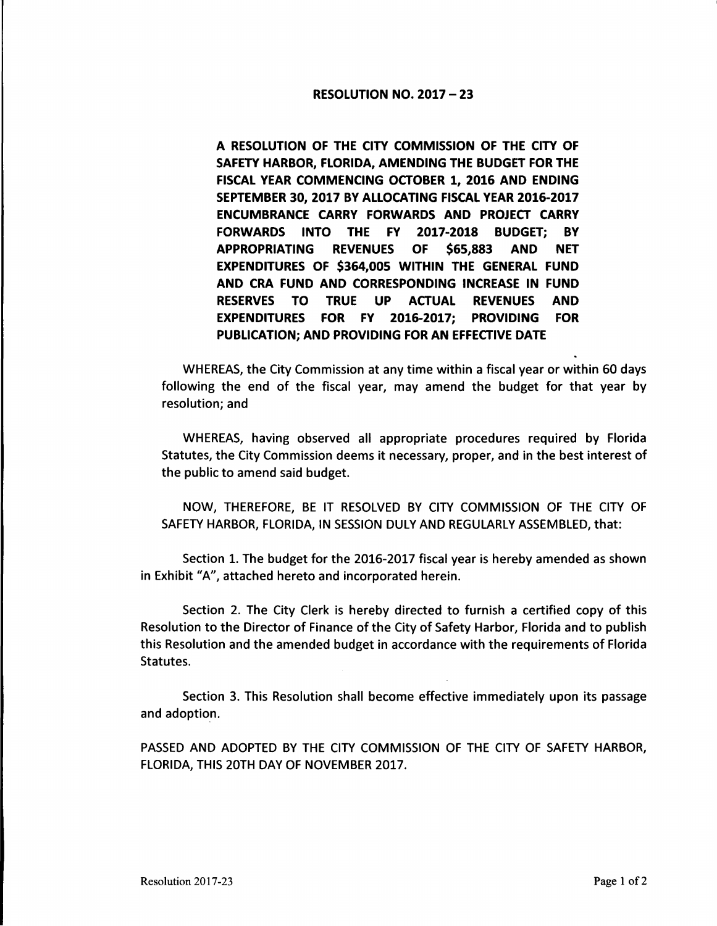## RESOLUTION NO. 2017 - 23

A RESOLUTION OF THE CITY COMMISSION OF THE CITY OF SAFETY HARBOR, FLORIDA, AMENDING THE BUDGET FOR THE FISCAL YEAR COMMENCING OCTOBER 1, 2016 AND ENDING SEPTEMBER 30, 2017 BY ALLOCATING FISCAL YEAR 2016-2017 ENCUMBRANCE CARRY FORWARDS AND PROJECT CARRY **FORWARDS** INTO THE FY 2017-2018 BUDGET; BY **APPROPRIATING REVENUES OF \$65,883 AND NET EXPENDITURES OF \$364,005 WITHIN THE GENERAL FUND AND CRA FUND AND CORRESPONDING INCREASE IN FUND RESERVES** TO TRUE **UP ACTUAL REVENUES AND EXPENDITURES FOR FY 2016-2017; PROVIDING FOR PUBLICATION; AND PROVIDING FOR AN EFFECTIVE DATE** 

WHEREAS, the City Commission at any time within a fiscal year or within 60 days following the end of the fiscal year, may amend the budget for that year by resolution; and

WHEREAS, having observed all appropriate procedures required by Florida Statutes, the City Commission deems it necessary, proper, and in the best interest of the public to amend said budget.

NOW, THEREFORE, BE IT RESOLVED BY CITY COMMISSION OF THE CITY OF SAFETY HARBOR, FLORIDA, IN SESSION DULY AND REGULARLY ASSEMBLED, that:

Section 1. The budget for the 2016-2017 fiscal year is hereby amended as shown in Exhibit "A", attached hereto and incorporated herein.

Section 2. The City Clerk is hereby directed to furnish a certified copy of this Resolution to the Director of Finance of the City of Safety Harbor, Florida and to publish this Resolution and the amended budget in accordance with the requirements of Florida Statutes.

Section 3. This Resolution shall become effective immediately upon its passage and adoption.

PASSED AND ADOPTED BY THE CITY COMMISSION OF THE CITY OF SAFETY HARBOR, FLORIDA, THIS 20TH DAY OF NOVEMBER 2017.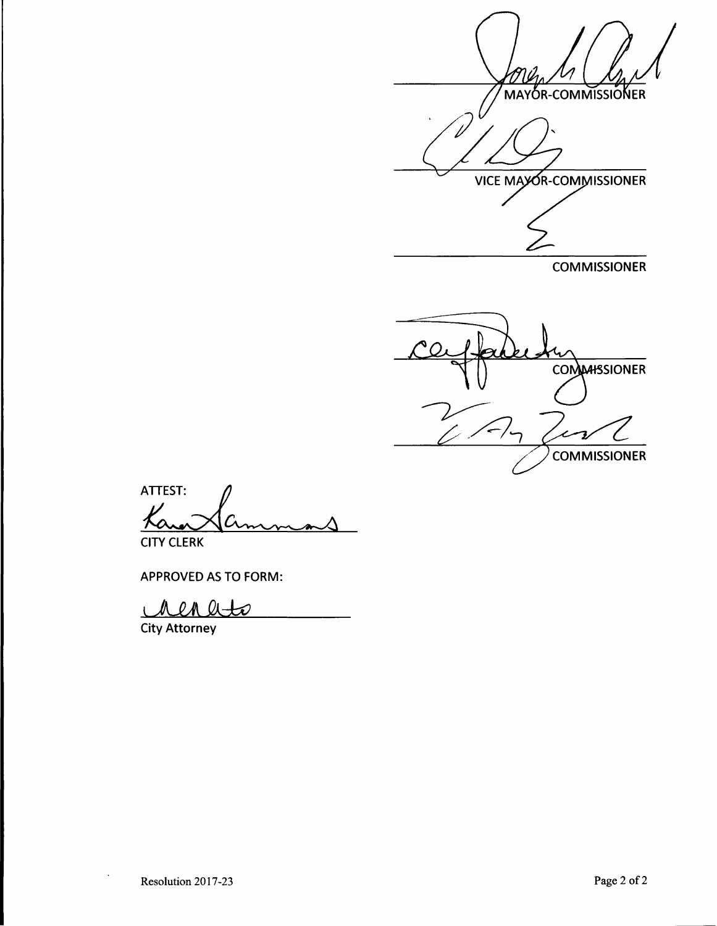MAYOR-COMMISSIONER 'V VICE MAYOR-COMMISSIONER

**COMMISSIONER** 

**COMMARSIONER COMMISSIONER** 

ATTEST:<br>Kano Cammons

CITY CLERK

APPROVED AS TO FORM:

 $\ell$ M QL $+$ М D  $\overline{1}$ 

City Attorney

 $\ddot{\phantom{a}}$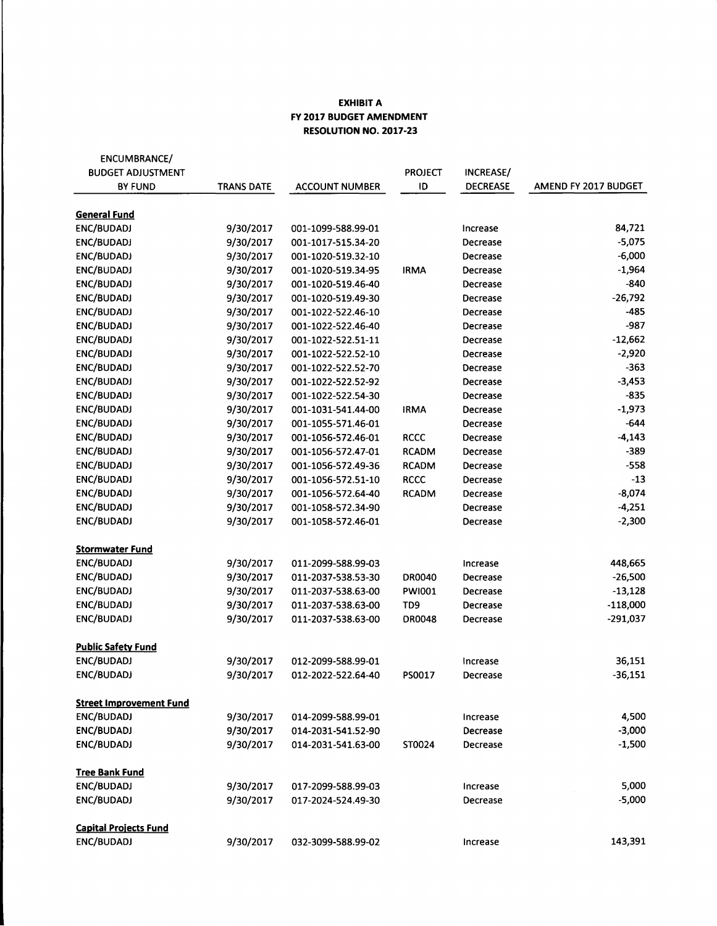## **EXHIBIT A FY 2017 BUDGET AMENDMENT RESOLUTION NO. 2017-23**

| ENCUMBRANCE/                   |                   |                       |                 |                 |                      |
|--------------------------------|-------------------|-----------------------|-----------------|-----------------|----------------------|
| <b>BUDGET ADJUSTMENT</b>       |                   |                       | <b>PROJECT</b>  | INCREASE/       |                      |
| <b>BY FUND</b>                 | <b>TRANS DATE</b> | <b>ACCOUNT NUMBER</b> | ID              | <b>DECREASE</b> | AMEND FY 2017 BUDGET |
|                                |                   |                       |                 |                 |                      |
| <b>General Fund</b>            |                   |                       |                 |                 |                      |
| ENC/BUDADJ                     | 9/30/2017         | 001-1099-588.99-01    |                 | Increase        | 84,721               |
| ENC/BUDADJ                     | 9/30/2017         | 001-1017-515.34-20    |                 | Decrease        | $-5,075$             |
| ENC/BUDADJ                     | 9/30/2017         | 001-1020-519.32-10    |                 | Decrease        | $-6,000$             |
| ENC/BUDADJ                     | 9/30/2017         | 001-1020-519.34-95    | <b>IRMA</b>     | Decrease        | $-1,964$             |
| ENC/BUDADJ                     | 9/30/2017         | 001-1020-519.46-40    |                 | Decrease        | $-840$               |
| <b>ENC/BUDADJ</b>              | 9/30/2017         | 001-1020-519.49-30    |                 | Decrease        | $-26,792$            |
| ENC/BUDADJ                     | 9/30/2017         | 001-1022-522.46-10    |                 | Decrease        | $-485$               |
| ENC/BUDADJ                     | 9/30/2017         | 001-1022-522.46-40    |                 | Decrease        | $-987$               |
| ENC/BUDADJ                     | 9/30/2017         | 001-1022-522.51-11    |                 | Decrease        | $-12,662$            |
| ENC/BUDADJ                     | 9/30/2017         | 001-1022-522.52-10    |                 | Decrease        | $-2,920$             |
| ENC/BUDADJ                     | 9/30/2017         | 001-1022-522.52-70    |                 | Decrease        | $-363$               |
| ENC/BUDADJ                     | 9/30/2017         | 001-1022-522.52-92    |                 | Decrease        | $-3,453$             |
| ENC/BUDADJ                     | 9/30/2017         | 001-1022-522.54-30    |                 | Decrease        | $-835$               |
| ENC/BUDADJ                     | 9/30/2017         | 001-1031-541.44-00    | <b>IRMA</b>     | Decrease        | $-1,973$             |
| ENC/BUDADJ                     | 9/30/2017         | 001-1055-571.46-01    |                 | Decrease        | $-644$               |
| ENC/BUDADJ                     | 9/30/2017         | 001-1056-572.46-01    | <b>RCCC</b>     | Decrease        | $-4,143$             |
| <b>ENC/BUDADJ</b>              | 9/30/2017         | 001-1056-572.47-01    | <b>RCADM</b>    | Decrease        | $-389$               |
| ENC/BUDADJ                     | 9/30/2017         | 001-1056-572.49-36    | <b>RCADM</b>    | Decrease        | $-558$               |
| ENC/BUDADJ                     | 9/30/2017         | 001-1056-572.51-10    | <b>RCCC</b>     | Decrease        | $-13$                |
| ENC/BUDADJ                     | 9/30/2017         | 001-1056-572.64-40    | <b>RCADM</b>    | Decrease        | $-8,074$             |
| ENC/BUDADJ                     | 9/30/2017         | 001-1058-572.34-90    |                 | Decrease        | $-4,251$             |
| ENC/BUDADJ                     | 9/30/2017         | 001-1058-572.46-01    |                 | Decrease        | $-2,300$             |
|                                |                   |                       |                 |                 |                      |
| <b>Stormwater Fund</b>         |                   |                       |                 |                 |                      |
| ENC/BUDADJ                     | 9/30/2017         | 011-2099-588.99-03    |                 | Increase        | 448,665              |
| ENC/BUDADJ                     | 9/30/2017         | 011-2037-538.53-30    | DR0040          | Decrease        | $-26,500$            |
| ENC/BUDADJ                     | 9/30/2017         | 011-2037-538.63-00    | <b>PWI001</b>   | Decrease        | $-13,128$            |
| ENC/BUDADJ                     | 9/30/2017         | 011-2037-538.63-00    | TD <sub>9</sub> | Decrease        | $-118,000$           |
| ENC/BUDADJ                     | 9/30/2017         | 011-2037-538.63-00    | DR0048          | Decrease        | $-291,037$           |
|                                |                   |                       |                 |                 |                      |
| <b>Public Safety Fund</b>      |                   |                       |                 |                 |                      |
| ENC/BUDADJ                     | 9/30/2017         | 012-2099-588.99-01    |                 | Increase        | 36,151               |
| ENC/BUDADJ                     | 9/30/2017         | 012-2022-522.64-40    | PS0017          | Decrease        | $-36,151$            |
|                                |                   |                       |                 |                 |                      |
| <b>Street Improvement Fund</b> |                   |                       |                 |                 |                      |
| ENC/BUDADJ                     | 9/30/2017         | 014-2099-588.99-01    |                 | Increase        | 4,500                |
| ENC/BUDADJ                     | 9/30/2017         | 014-2031-541.52-90    |                 | Decrease        | $-3,000$             |
| ENC/BUDADJ                     | 9/30/2017         | 014-2031-541.63-00    | ST0024          | Decrease        | $-1,500$             |
|                                |                   |                       |                 |                 |                      |
| <b>Tree Bank Fund</b>          |                   |                       |                 |                 |                      |
| ENC/BUDADJ                     | 9/30/2017         | 017-2099-588.99-03    |                 | Increase        | 5,000                |
| ENC/BUDADJ                     | 9/30/2017         | 017-2024-524.49-30    |                 | Decrease        | $-5,000$             |
|                                |                   |                       |                 |                 |                      |
| <b>Capital Projects Fund</b>   |                   |                       |                 |                 |                      |
| ENC/BUDADJ                     | 9/30/2017         | 032-3099-588.99-02    |                 | Increase        | 143,391              |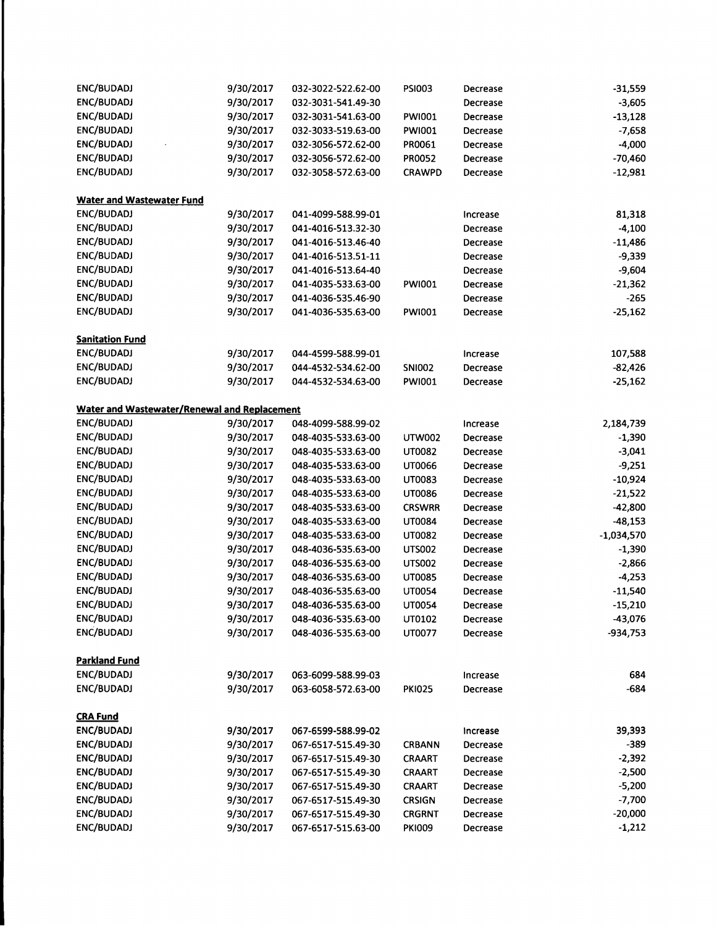| ENC/BUDADJ                                   | 9/30/2017 | 032-3022-522.62-00 | <b>PSI003</b> | Decrease | $-31,559$    |
|----------------------------------------------|-----------|--------------------|---------------|----------|--------------|
| ENC/BUDADJ                                   | 9/30/2017 | 032-3031-541.49-30 |               | Decrease | $-3,605$     |
| ENC/BUDADJ                                   | 9/30/2017 | 032-3031-541.63-00 | PWI001        | Decrease | $-13,128$    |
| ENC/BUDADJ                                   | 9/30/2017 | 032-3033-519.63-00 | <b>PWI001</b> | Decrease | $-7,658$     |
| ENC/BUDADJ                                   | 9/30/2017 | 032-3056-572.62-00 | PR0061        | Decrease | $-4,000$     |
| ENC/BUDADJ                                   | 9/30/2017 | 032-3056-572.62-00 | PR0052        | Decrease | $-70,460$    |
| ENC/BUDADJ                                   | 9/30/2017 | 032-3058-572.63-00 | <b>CRAWPD</b> | Decrease | $-12,981$    |
| <b>Water and Wastewater Fund</b>             |           |                    |               |          |              |
| ENC/BUDADJ                                   | 9/30/2017 | 041-4099-588.99-01 |               | Increase | 81,318       |
| ENC/BUDADJ                                   | 9/30/2017 | 041-4016-513.32-30 |               | Decrease | $-4,100$     |
| ENC/BUDADJ                                   | 9/30/2017 | 041-4016-513.46-40 |               | Decrease | $-11,486$    |
| ENC/BUDADJ                                   | 9/30/2017 | 041-4016-513.51-11 |               | Decrease | $-9,339$     |
| ENC/BUDADJ                                   | 9/30/2017 | 041-4016-513.64-40 |               | Decrease | $-9,604$     |
| ENC/BUDADJ                                   | 9/30/2017 | 041-4035-533.63-00 | PWI001        | Decrease | $-21,362$    |
| ENC/BUDADJ                                   | 9/30/2017 | 041-4036-535.46-90 |               | Decrease | $-265$       |
| ENC/BUDADJ                                   | 9/30/2017 | 041-4036-535.63-00 | <b>PWI001</b> | Decrease | $-25,162$    |
|                                              |           |                    |               |          |              |
| <b>Sanitation Fund</b>                       |           |                    |               |          |              |
| ENC/BUDADJ                                   | 9/30/2017 | 044-4599-588.99-01 |               | Increase | 107,588      |
| ENC/BUDADJ                                   | 9/30/2017 | 044-4532-534.62-00 | <b>SNI002</b> | Decrease | $-82,426$    |
| ENC/BUDADJ                                   | 9/30/2017 | 044-4532-534.63-00 | <b>PWI001</b> | Decrease | $-25,162$    |
| Water and Wastewater/Renewal and Replacement |           |                    |               |          |              |
| ENC/BUDADJ                                   | 9/30/2017 | 048-4099-588.99-02 |               | Increase | 2,184,739    |
| ENC/BUDADJ                                   | 9/30/2017 | 048-4035-533.63-00 | <b>UTW002</b> | Decrease | $-1,390$     |
| ENC/BUDADJ                                   | 9/30/2017 | 048-4035-533.63-00 | UT0082        | Decrease | $-3,041$     |
| ENC/BUDADJ                                   | 9/30/2017 | 048-4035-533.63-00 | UT0066        | Decrease | $-9,251$     |
| ENC/BUDADJ                                   | 9/30/2017 | 048-4035-533.63-00 | UT0083        | Decrease | $-10,924$    |
| ENC/BUDADJ                                   | 9/30/2017 | 048-4035-533.63-00 | UT0086        | Decrease | $-21,522$    |
| ENC/BUDADJ                                   | 9/30/2017 | 048-4035-533.63-00 | <b>CRSWRR</b> | Decrease | $-42,800$    |
| ENC/BUDADJ                                   | 9/30/2017 | 048-4035-533.63-00 | UT0084        | Decrease | $-48,153$    |
| ENC/BUDADJ                                   | 9/30/2017 | 048-4035-533.63-00 | UT0082        | Decrease | $-1,034,570$ |
| ENC/BUDADJ                                   | 9/30/2017 | 048-4036-535.63-00 | <b>UTS002</b> | Decrease | $-1,390$     |
| ENC/BUDADJ                                   | 9/30/2017 | 048-4036-535.63-00 | <b>UTS002</b> | Decrease | $-2,866$     |
| ENC/BUDADJ                                   | 9/30/2017 | 048-4036-535.63-00 | <b>UT0085</b> | Decrease | $-4,253$     |
| ENC/BUDADJ                                   | 9/30/2017 | 048-4036-535.63-00 | <b>UT0054</b> | Decrease | $-11,540$    |
| ENC/BUDADJ                                   | 9/30/2017 | 048-4036-535.63-00 | UT0054        | Decrease | $-15,210$    |
| ENC/BUDADJ                                   | 9/30/2017 | 048-4036-535.63-00 | UT0102        | Decrease | $-43,076$    |
| ENC/BUDADJ                                   | 9/30/2017 | 048-4036-535.63-00 | UT0077        | Decrease | $-934,753$   |
|                                              |           |                    |               |          |              |
| <b>Parkland Fund</b><br>ENC/BUDADJ           | 9/30/2017 | 063-6099-588.99-03 |               |          | 684          |
| ENC/BUDADJ                                   | 9/30/2017 | 063-6058-572.63-00 | <b>PKI025</b> | Increase | $-684$       |
|                                              |           |                    |               | Decrease |              |
| <b>CRA Fund</b>                              |           |                    |               |          |              |
| ENC/BUDADJ                                   | 9/30/2017 | 067-6599-588.99-02 |               | increase | 39,393       |
| ENC/BUDADJ                                   | 9/30/2017 | 067-6517-515.49-30 | <b>CRBANN</b> | Decrease | $-389$       |
| ENC/BUDADJ                                   | 9/30/2017 | 067-6517-515.49-30 | CRAART        | Decrease | $-2,392$     |
| ENC/BUDADJ                                   | 9/30/2017 | 067-6517-515.49-30 | CRAART        | Decrease | $-2,500$     |
| ENC/BUDADJ                                   | 9/30/2017 | 067-6517-515.49-30 | <b>CRAART</b> | Decrease | $-5,200$     |
| ENC/BUDADJ                                   | 9/30/2017 | 067-6517-515.49-30 | <b>CRSIGN</b> | Decrease | $-7,700$     |
| ENC/BUDADJ                                   | 9/30/2017 | 067-6517-515.49-30 | <b>CRGRNT</b> | Decrease | $-20,000$    |
| ENC/BUDADJ                                   | 9/30/2017 | 067-6517-515.63-00 | <b>PKI009</b> | Decrease | $-1,212$     |